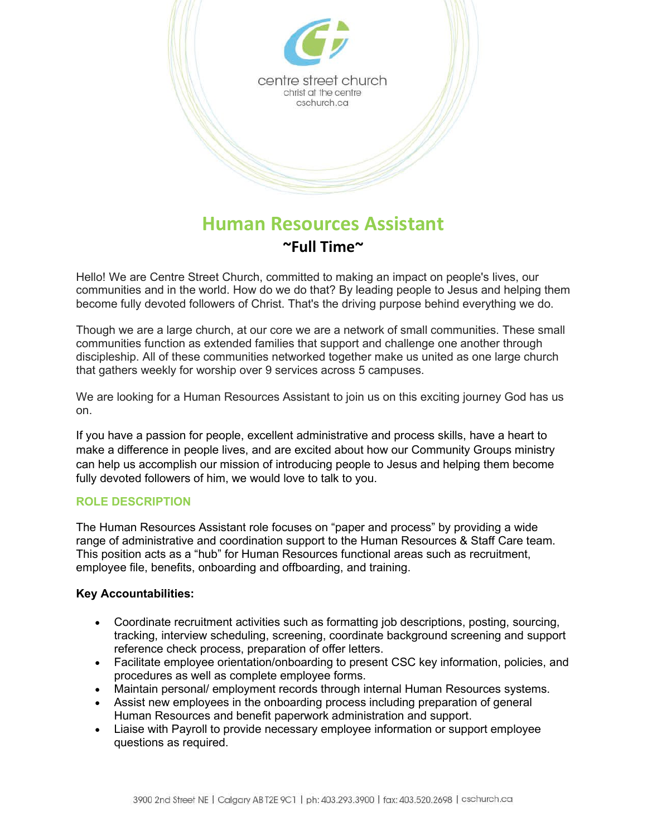

# **Human Resources Assistant ~Full Time~**

Hello! We are Centre Street Church, committed to making an impact on people's lives, our communities and in the world. How do we do that? By leading people to Jesus and helping them become fully devoted followers of Christ. That's the driving purpose behind everything we do.

Though we are a large church, at our core we are a network of small communities. These small communities function as extended families that support and challenge one another through discipleship. All of these communities networked together make us united as one large church that gathers weekly for worship over 9 services across 5 campuses.

We are looking for a Human Resources Assistant to join us on this exciting journey God has us on.

If you have a passion for people, excellent administrative and process skills, have a heart to make a difference in people lives, and are excited about how our Community Groups ministry can help us accomplish our mission of introducing people to Jesus and helping them become fully devoted followers of him, we would love to talk to you.

# **ROLE DESCRIPTION**

The Human Resources Assistant role focuses on "paper and process" by providing a wide range of administrative and coordination support to the Human Resources & Staff Care team. This position acts as a "hub" for Human Resources functional areas such as recruitment, employee file, benefits, onboarding and offboarding, and training.

# **Key Accountabilities:**

- Coordinate recruitment activities such as formatting job descriptions, posting, sourcing, tracking, interview scheduling, screening, coordinate background screening and support reference check process, preparation of offer letters.
- Facilitate employee orientation/onboarding to present CSC key information, policies, and procedures as well as complete employee forms.
- Maintain personal/ employment records through internal Human Resources systems.
- Assist new employees in the onboarding process including preparation of general Human Resources and benefit paperwork administration and support.
- Liaise with Payroll to provide necessary employee information or support employee questions as required.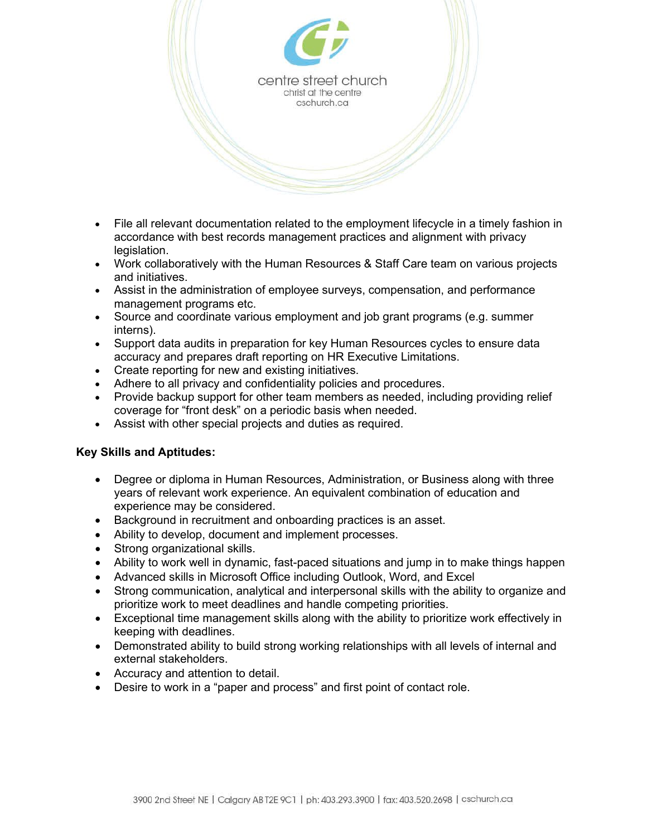

- File all relevant documentation related to the employment lifecycle in a timely fashion in accordance with best records management practices and alignment with privacy legislation.
- Work collaboratively with the Human Resources & Staff Care team on various projects and initiatives.
- Assist in the administration of employee surveys, compensation, and performance management programs etc.
- Source and coordinate various employment and job grant programs (e.g. summer interns).
- Support data audits in preparation for key Human Resources cycles to ensure data accuracy and prepares draft reporting on HR Executive Limitations.
- Create reporting for new and existing initiatives.
- Adhere to all privacy and confidentiality policies and procedures.
- Provide backup support for other team members as needed, including providing relief coverage for "front desk" on a periodic basis when needed.
- Assist with other special projects and duties as required.

# **Key Skills and Aptitudes:**

- Degree or diploma in Human Resources, Administration, or Business along with three years of relevant work experience. An equivalent combination of education and experience may be considered.
- Background in recruitment and onboarding practices is an asset.
- Ability to develop, document and implement processes.
- Strong organizational skills.
- Ability to work well in dynamic, fast-paced situations and jump in to make things happen
- Advanced skills in Microsoft Office including Outlook, Word, and Excel
- Strong communication, analytical and interpersonal skills with the ability to organize and prioritize work to meet deadlines and handle competing priorities.
- Exceptional time management skills along with the ability to prioritize work effectively in keeping with deadlines.
- Demonstrated ability to build strong working relationships with all levels of internal and external stakeholders.
- Accuracy and attention to detail.
- Desire to work in a "paper and process" and first point of contact role.